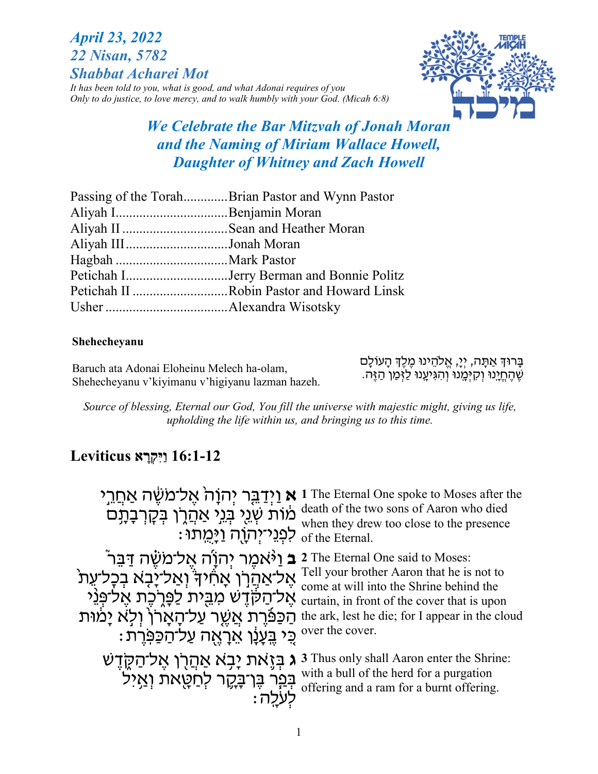# *April 23, 2022 22 Nisan, 5782 Shabbat Acharei Mot*

*It has been told to you, what is good, and what Adonai requires of you Only to do justice, to love mercy, and to walk humbly with your God. (Micah 6:8)*



# *We Celebrate the Bar Mitzvah of Jonah Moran and the Naming of Miriam Wallace Howell, Daughter of Whitney and Zach Howell*

| Passing of the TorahBrian Pastor and Wynn Pastor |  |
|--------------------------------------------------|--|
|                                                  |  |
| Aliyah II Sean and Heather Moran                 |  |
| Aliyah IIIJonah Moran                            |  |
|                                                  |  |
| Petichah IJerry Berman and Bonnie Politz         |  |
| Petichah II Robin Pastor and Howard Linsk        |  |
|                                                  |  |

#### **Shehecheyanu**

Baruch ata Adonai Eloheinu Melech ha-olam, Shehecheyanu v'kiyimanu v'higiyanu lazman hazeh. ַבָּרוּדְּ אַתָּה, יְיָ, אֱלֹהֵינוּ מֶלֶדְ הָעוֹלָם ְשֶׁ הֶחֱיָנוּ וְקִיְּמֵנוּ וְהִגְּיעֵנוּ לַזְּמַן הַזֶּה.

*Source of blessing, Eternal our God, You fill the universe with majestic might, giving us life, upholding the life within us, and bringing us to this time.*

# **16:1-12 ִוַיּקְ רָ א Leviticus**

**א וַיְדַבֵּר יְהוָה אֱל־מֹשֶּׂה אַחֲרֵי** i The Eternal One spoke to Moses after the מוֹת שְׂנֵי בְּנֵי אַהֲרֶן בְּקָרְבָתָם ּלִפְנֵי־יְהוָה וַיְּמֵתוּ : death of the two sons of Aaron who died when they drew too close to the presence of the Eternal. **בּ וַיֹּאמֶר יְהוָׂה אֱל־מֹשֶׁה דַּבֵּר** (**I**ne Eternal One said to Moses: <sup>Tell</sup> your brother Aaron that he is not to אֱ כֹּאֲ הְרָן אֲחֹיךָ וְאֲלֹיָנָצָא בְכָל־עֵתֹ<br>
come at will into the Shrine behind the אֶל־הַקֹּדֶשׁ מִבֵּית לַפְּרֶכֶת אֶל־פְּנֵי vente at will like sill ile over that is upon ַהַכַּפּֿרֶת אֲשֶׁר עַל־הָאָרן וְלָא יָמוּת the ark, lest he die; for I appear in the cloud : כִּי בֶּעֲנָן אֵרָאֶה עַל־הַכַּפְּרֶת over the cover. come at will into the Shrine behind the ג בְּיָאת יָבָא אַהֲרֶן אֶל־הַקֶּדֶשׁ 3 J Thus only shall Aaron enter the Shrine: בְּבָר בֶּר<del>ַבְקֶ</del>ר לְחַטָּאת וְאַיִל  $\vdots$ לְעֹלָה with a bull of the herd for a purgation offering and a ram for a burnt offering.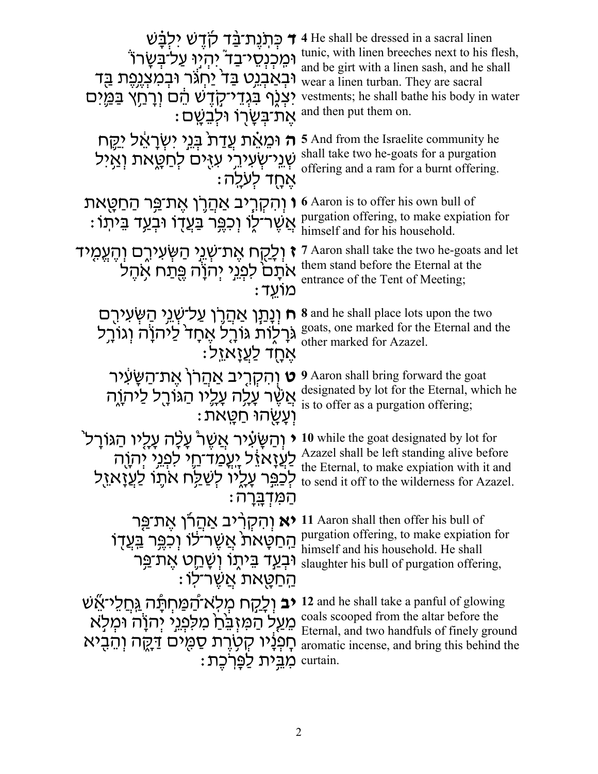| ד כִּתְנֻת <sup>ַ</sup> בַּד קודָש ילִבָּשׁ<br>וּמִכְנְסֵי־בַד יְהִיוּ עַל־בִּשָׂרוֹ<br>וּבְאַבְנֵט בַּד <sup>י</sup> יַחְגֹּר וּבְמִצְנֵפֵת בַּד<br>יִצְגֶף בִּגְדֵי־קָדֶשׁ הֵם וְרָחֵץ בַּמֵּיִם<br>ּאֵת־בִּשַׂרְוֹ וּלְבֵשֵׁם | 4 He shall be dressed in a sacral linen<br>tunic, with linen breeches next to his flesh,<br>and be girt with a linen sash, and he shall<br>wear a linen turban. They are sacral<br>vestments; he shall bathe his body in water<br>and then put them on. |
|----------------------------------------------------------------------------------------------------------------------------------------------------------------------------------------------------------------------------------|---------------------------------------------------------------------------------------------------------------------------------------------------------------------------------------------------------------------------------------------------------|
| ה וּמֶאֵת עֲדַת ּבְּנֵי יִשְׂרָאֵל יִקֵח                                                                                                                                                                                         | <b>5</b> And from the Israelite community he                                                                                                                                                                                                            |
| שְׁנֵי־שִׂעִירֵי עַזָּים לְחַטָָאת וְאֵיל                                                                                                                                                                                        | shall take two he-goats for a purgation                                                                                                                                                                                                                 |
| ּאַחָד לִעלַה                                                                                                                                                                                                                    | offering and a ram for a burnt offering.                                                                                                                                                                                                                |
| <b>ו</b> וְהִקְרֶיב אַהֲרֶן אֶת־פֵּר הַחַטֶּאת<br>ּאֲשֶׁר־לֶוֹ וְכִפֶּר בַּעֲדָוֹ וּבְעַד בֵּיתָוֹ                                                                                                                               | <b>6</b> Aaron is to offer his own bull of<br>purgation offering, to make expiation for<br>himself and for his household.                                                                                                                               |
| <b>ז</b> וְלָקָח אֶת־שְׁנֵי הַשְּׂעִירֶם וְהֶעֱמֶיד                                                                                                                                                                              | 7 Aaron shall take the two he-goats and let                                                                                                                                                                                                             |
| אתם לפגי יהוה פתח אהל                                                                                                                                                                                                            | them stand before the Eternal at the                                                                                                                                                                                                                    |
| : מוֹעד                                                                                                                                                                                                                          | entrance of the Tent of Meeting;                                                                                                                                                                                                                        |
| ח וְנָתַּן אַהֲרֶן עַל־שָׁגֵי הַשְּׂעִירֶם                                                                                                                                                                                       | <b>8</b> and he shall place lots upon the two                                                                                                                                                                                                           |
| גּרָלְוֹת גּוֹרֵל אֵחָד <sup>י</sup> לַיֹּהוַׂה וְגוֹרֵל                                                                                                                                                                         | goats, one marked for the Eternal and the                                                                                                                                                                                                               |
| <u>ּאַחָד לַעֲזַאזֵל</u>                                                                                                                                                                                                         | other marked for Azazel.                                                                                                                                                                                                                                |
| <b>ָט</b> וְהִקְרֵיב אַהֲרן אֱת־הַשֶּעִיר                                                                                                                                                                                        | <b>9</b> Aaron shall bring forward the goat                                                                                                                                                                                                             |
| אֲשֶׁר עָלֶה עָלֶיו הַגּוֹרָל לַיהוָה                                                                                                                                                                                            | designated by lot for the Eternal, which he                                                                                                                                                                                                             |
| : וְעֲשֻׂהוּ חַטֵּאת                                                                                                                                                                                                             | is to offer as a purgation offering;                                                                                                                                                                                                                    |
| ֿוְהַשֶּׂעָ֫יר אֲשֶׁר עָלָה עַלֵיו הַגּוֹרַל                                                                                                                                                                                     | 10 while the goat designated by lot for                                                                                                                                                                                                                 |
| <u>ַלַעֲזָאזֶל יְעֲמַד־חֶי לִפְגֵי יְהְוֶה</u>                                                                                                                                                                                   | Azazel shall be left standing alive before                                                                                                                                                                                                              |
| לְכַ <sup>ֹ</sup> ּפֵר עָלֶיוֹ לְשַׁלַּח אֹתֶוֹ לַעֲזָאזֵל                                                                                                                                                                       | the Eternal, to make expiation with it and                                                                                                                                                                                                              |
| ּהַמִּדְבָּרָה                                                                                                                                                                                                                   | to send it off to the wilderness for Azazel.                                                                                                                                                                                                            |
| <b>יא</b> והקריב אַהַרו אֶת־פֶּר                                                                                                                                                                                                 | 11 Aaron shall then offer his bull of                                                                                                                                                                                                                   |
| הַחַטָּאת אֲשֶׁר־לוֹ וְכְפֵּר בַּעֲדָוֹ                                                                                                                                                                                          | purgation offering, to make expiation for                                                                                                                                                                                                               |
| וּבְ <u>ע</u> ְד בֵּיתֶוֹ וְשָׁחֵֵט אֶת־ <u>פ</u> ְּר                                                                                                                                                                            | himself and his household. He shall                                                                                                                                                                                                                     |
| ּהַחַטָּאת אֲשֶׁר־לוֹ                                                                                                                                                                                                            | slaughter his bull of purgation offering,                                                                                                                                                                                                               |
| <b>יב</b> וְלַקַח מִלְאֹ־הַמַּחְתָּה גַּחֲלֵי־אֵשׁ<br>מֵעַל הַמִּזְבֵּׂהַ מִלְּמָיֵי יִהוָֹה וּמִלְא<br>חָפִנָּיו קִטְרֵת סַמְּים דַּקֶה וְהֵבִיא<br>ּמִבֵּית לַפְּרִכֵת:                                                        | 12 and he shall take a panful of glowing<br>coals scooped from the altar before the<br>Eternal, and two handfuls of finely ground<br>aromatic incense, and bring this behind the<br>curtain.                                                            |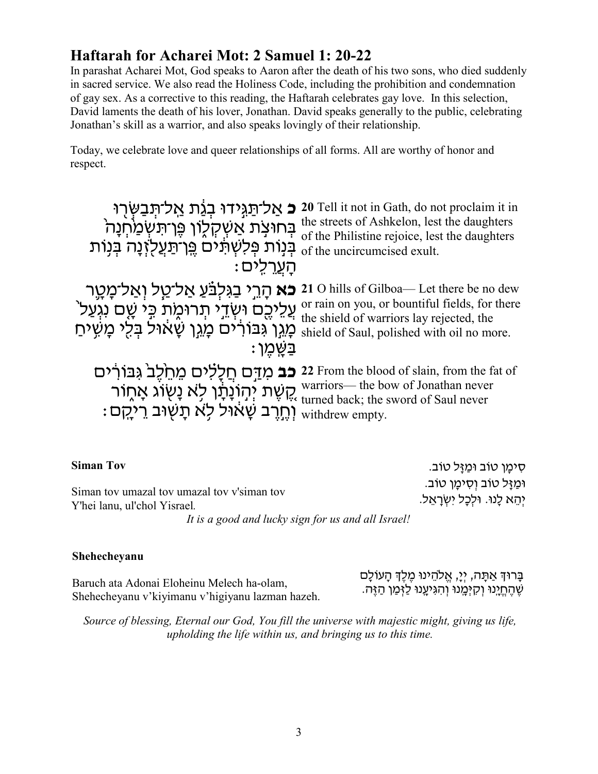# **Haftarah for Acharei Mot: 2 Samuel 1: 20-22**

In parashat Acharei Mot, God speaks to Aaron after the death of his two sons, who died suddenly in sacred service. We also read the Holiness Code, including the prohibition and condemnation of gay sex. As a corrective to this reading, the Haftarah celebrates gay love. In this selection, David laments the death of his lover, Jonathan. David speaks generally to the public, celebrating Jonathan's skill as a warrior, and also speaks lovingly of their relationship.

Today, we celebrate love and queer relationships of all forms. All are worthy of honor and respect.

| <b>ָכ</b> אַל־תַּגְּידוּ בְגַת אַל־תְּבַשְּׂרָוּ                                                                                                 | 20 Tell it not in Gath, do not proclaim it in                                      |
|--------------------------------------------------------------------------------------------------------------------------------------------------|------------------------------------------------------------------------------------|
| בְּחוּצְת אַשְׁקְלֶוֹן פֶּן־תִּשְ <u>ׁמַ</u> וֹהְנָה                                                                                             | the streets of Ashkelon, lest the daughters                                        |
| בִּנְוֹת פִּלְשְׁתֵּים פֵּן־תַעֲלְזֶנָה בִּנְוֹת                                                                                                 | of the Philistine rejoice, lest the daughters                                      |
| ּהַעֲרֹלים                                                                                                                                       | of the uncircumcised exult.                                                        |
| <b>כא</b> הָרֵי בַגִּלְבֹּעַ אַל־טַל וְאַל־מָטֶר                                                                                                 | 21 O hills of Gilboa-Let there be no dew                                           |
| ְעֲלֵיכֶם וּשְׂדֵי תְרוּמֶת כִּי שֶׁם נִגְעַל ׁ                                                                                                  | or rain on you, or bountiful fields, for there                                     |
| כְּגֵן גִּבּוֹרֹיִם מָגֵן שַׁאול בּלִי מַשִׁיחַ                                                                                                  | the shield of warriors lay rejected, the                                           |
| בַשַּׁמֵן :                                                                                                                                      | shield of Saul, polished with oil no more.                                         |
| קֱשֶׁת יְהוֹנָתָן לָא נָשְׂוֹג אֲחֲוֹר warriors— the bow of Jonathan never<br>וְחֶרֶב שָׁאוֹל לָא תָשְׁוּב רֵיכֵקָם (עֵר הָיִקָם uithdrew empty. | 22 From the blood of slain, from the fat of<br>warriors— the bow of Jonathan never |

| <b>Siman Tov</b>                                                            | ּסִימַן טוֹב וּמַזַּל טוֹב.                                       |
|-----------------------------------------------------------------------------|-------------------------------------------------------------------|
| Siman tov umazal tov umazal tov v'siman tov<br>Y'hei lanu, ul'chol Yisrael. | וּמַזַּל טוֹב וְסִימַן טוֹב.<br>יִהֵא לָנוּ. וּלִכָּל יִשְׂרָאֵל. |
| It is a good and lucky sign for us and all Israel!                          |                                                                   |

#### **Shehecheyanu**

Baruch ata Adonai Eloheinu Melech ha-olam, Shehecheyanu v'kiyimanu v'higiyanu lazman hazeh. בָּרוּדְ אַתָּה, יְיָ, אֱלֹהֵינוּ מֶלֶדְ הָעוֹלָם ְ שֶׁ הֶ חֱ יָ ֽנוּ וְ קִ יּמָ ֽ נוּ וְ הִ גִּ יעָ ֽנוּ לַזְּ מַ ן הַ זֶּה.

*Source of blessing, Eternal our God, You fill the universe with majestic might, giving us life, upholding the life within us, and bringing us to this time.*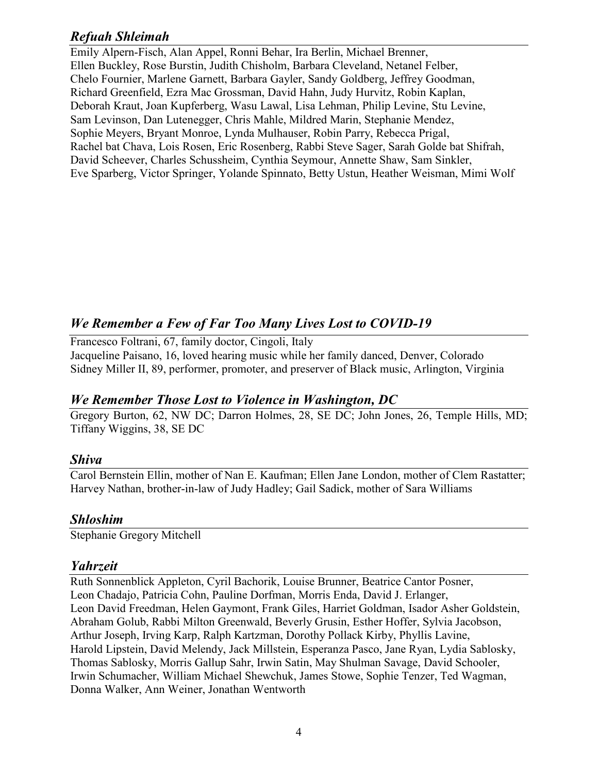### *Refuah Shleimah*

Emily Alpern-Fisch, Alan Appel, Ronni Behar, Ira Berlin, Michael Brenner, Ellen Buckley, Rose Burstin, Judith Chisholm, Barbara Cleveland, Netanel Felber, Chelo Fournier, Marlene Garnett, Barbara Gayler, Sandy Goldberg, Jeffrey Goodman, Richard Greenfield, Ezra Mac Grossman, David Hahn, Judy Hurvitz, Robin Kaplan, Deborah Kraut, Joan Kupferberg, Wasu Lawal, Lisa Lehman, Philip Levine, Stu Levine, Sam Levinson, Dan Lutenegger, Chris Mahle, Mildred Marin, Stephanie Mendez, Sophie Meyers, Bryant Monroe, Lynda Mulhauser, Robin Parry, Rebecca Prigal, Rachel bat Chava, Lois Rosen, Eric Rosenberg, Rabbi Steve Sager, Sarah Golde bat Shifrah, David Scheever, Charles Schussheim, Cynthia Seymour, Annette Shaw, Sam Sinkler, Eve Sparberg, Victor Springer, Yolande Spinnato, Betty Ustun, Heather Weisman, Mimi Wolf

### *We Remember a Few of Far Too Many Lives Lost to COVID-19*

Francesco Foltrani, 67, family doctor, Cingoli, Italy Jacqueline Paisano, 16, loved hearing music while her family danced, Denver, Colorado Sidney Miller II, 89, performer, promoter, and preserver of Black music, Arlington, Virginia

### *We Remember Those Lost to Violence in Washington, DC*

Gregory Burton, 62, NW DC; Darron Holmes, 28, SE DC; John Jones, 26, Temple Hills, MD; Tiffany Wiggins, 38, SE DC

### *Shiva*

Carol Bernstein Ellin, mother of Nan E. Kaufman; Ellen Jane London, mother of Clem Rastatter; Harvey Nathan, brother-in-law of Judy Hadley; Gail Sadick, mother of Sara Williams

#### *Shloshim*

Stephanie Gregory Mitchell

#### *Yahrzeit*

Ruth Sonnenblick Appleton, Cyril Bachorik, Louise Brunner, Beatrice Cantor Posner, Leon Chadajo, Patricia Cohn, Pauline Dorfman, Morris Enda, David J. Erlanger, Leon David Freedman, Helen Gaymont, Frank Giles, Harriet Goldman, Isador Asher Goldstein, Abraham Golub, Rabbi Milton Greenwald, Beverly Grusin, Esther Hoffer, Sylvia Jacobson, Arthur Joseph, Irving Karp, Ralph Kartzman, Dorothy Pollack Kirby, Phyllis Lavine, Harold Lipstein, David Melendy, Jack Millstein, Esperanza Pasco, Jane Ryan, Lydia Sablosky, Thomas Sablosky, Morris Gallup Sahr, Irwin Satin, May Shulman Savage, David Schooler, Irwin Schumacher, William Michael Shewchuk, James Stowe, Sophie Tenzer, Ted Wagman, Donna Walker, Ann Weiner, Jonathan Wentworth